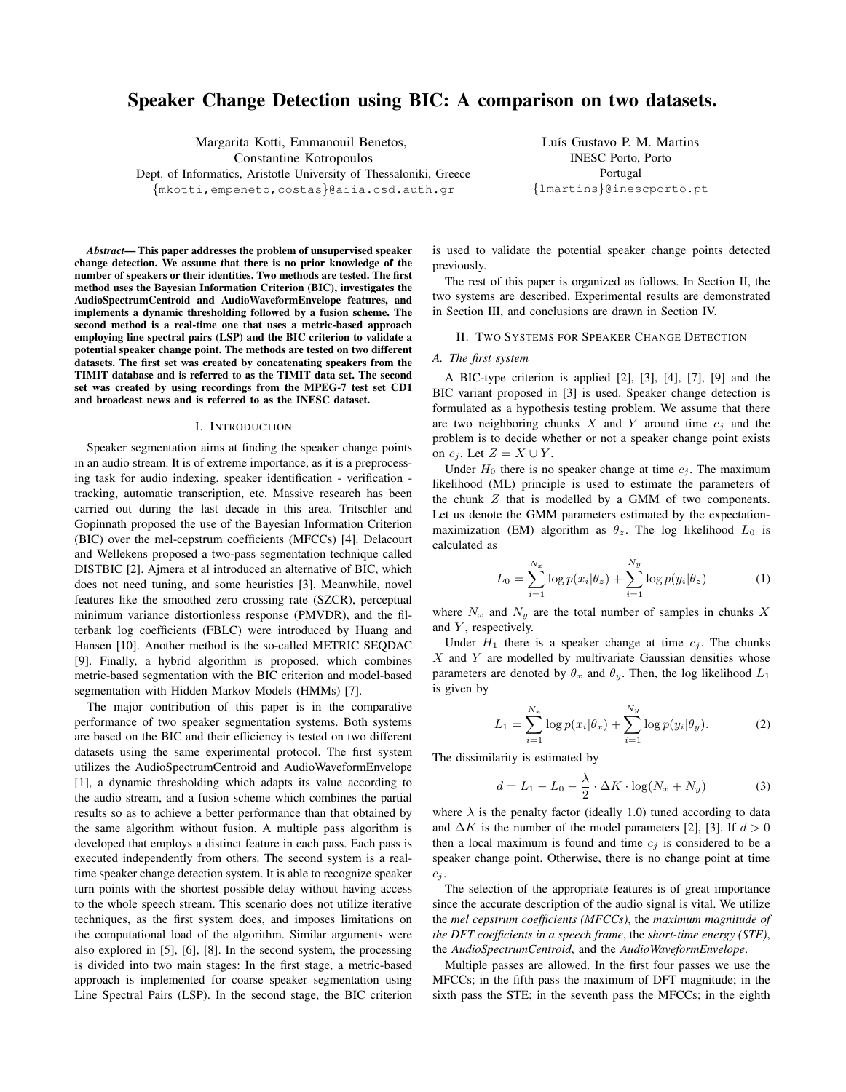# **Speaker Change Detection using BIC: A comparison on two datasets.**

Margarita Kotti, Emmanouil Benetos,

Constantine Kotropoulos

Dept. of Informatics, Aristotle University of Thessaloniki, Greece {mkotti,empeneto,costas}@aiia.csd.auth.gr

Luís Gustavo P. M. Martins INESC Porto, Porto Portugal {lmartins}@inescporto.pt

*Abstract***— This paper addresses the problem of unsupervised speaker change detection. We assume that there is no prior knowledge of the number of speakers or their identities. Two methods are tested. The first method uses the Bayesian Information Criterion (BIC), investigates the AudioSpectrumCentroid and AudioWaveformEnvelope features, and implements a dynamic thresholding followed by a fusion scheme. The second method is a real-time one that uses a metric-based approach employing line spectral pairs (LSP) and the BIC criterion to validate a potential speaker change point. The methods are tested on two different datasets. The first set was created by concatenating speakers from the TIMIT database and is referred to as the TIMIT data set. The second set was created by using recordings from the MPEG-7 test set CD1 and broadcast news and is referred to as the INESC dataset.**

# I. INTRODUCTION

Speaker segmentation aims at finding the speaker change points in an audio stream. It is of extreme importance, as it is a preprocessing task for audio indexing, speaker identification - verification tracking, automatic transcription, etc. Massive research has been carried out during the last decade in this area. Tritschler and Gopinnath proposed the use of the Bayesian Information Criterion (BIC) over the mel-cepstrum coefficients (MFCCs) [4]. Delacourt and Wellekens proposed a two-pass segmentation technique called DISTBIC [2]. Ajmera et al introduced an alternative of BIC, which does not need tuning, and some heuristics [3]. Meanwhile, novel features like the smoothed zero crossing rate (SZCR), perceptual minimum variance distortionless response (PMVDR), and the filterbank log coefficients (FBLC) were introduced by Huang and Hansen [10]. Another method is the so-called METRIC SEQDAC [9]. Finally, a hybrid algorithm is proposed, which combines metric-based segmentation with the BIC criterion and model-based segmentation with Hidden Markov Models (HMMs) [7].

The major contribution of this paper is in the comparative performance of two speaker segmentation systems. Both systems are based on the BIC and their efficiency is tested on two different datasets using the same experimental protocol. The first system utilizes the AudioSpectrumCentroid and AudioWaveformEnvelope [1], a dynamic thresholding which adapts its value according to the audio stream, and a fusion scheme which combines the partial results so as to achieve a better performance than that obtained by the same algorithm without fusion. A multiple pass algorithm is developed that employs a distinct feature in each pass. Each pass is executed independently from others. The second system is a realtime speaker change detection system. It is able to recognize speaker turn points with the shortest possible delay without having access to the whole speech stream. This scenario does not utilize iterative techniques, as the first system does, and imposes limitations on the computational load of the algorithm. Similar arguments were also explored in [5], [6], [8]. In the second system, the processing is divided into two main stages: In the first stage, a metric-based approach is implemented for coarse speaker segmentation using Line Spectral Pairs (LSP). In the second stage, the BIC criterion is used to validate the potential speaker change points detected previously.

The rest of this paper is organized as follows. In Section II, the two systems are described. Experimental results are demonstrated in Section III, and conclusions are drawn in Section IV.

#### II. TWO SYSTEMS FOR SPEAKER CHANGE DETECTION

# *A. The first system*

A BIC-type criterion is applied [2], [3], [4], [7], [9] and the BIC variant proposed in [3] is used. Speaker change detection is formulated as a hypothesis testing problem. We assume that there are two neighboring chunks  $X$  and  $Y$  around time  $c_i$  and the problem is to decide whether or not a speaker change point exists on  $c_i$ . Let  $Z = X \cup Y$ .

Under  $H_0$  there is no speaker change at time  $c_i$ . The maximum likelihood (ML) principle is used to estimate the parameters of the chunk Z that is modelled by a GMM of two components. Let us denote the GMM parameters estimated by the expectationmaximization (EM) algorithm as  $\theta_z$ . The log likelihood  $L_0$  is calculated as

$$
L_0 = \sum_{i=1}^{N_x} \log p(x_i | \theta_z) + \sum_{i=1}^{N_y} \log p(y_i | \theta_z)
$$
 (1)

where  $N_x$  and  $N_y$  are the total number of samples in chunks X and  $Y$ , respectively.

Under  $H_1$  there is a speaker change at time  $c_i$ . The chunks  $X$  and  $Y$  are modelled by multivariate Gaussian densities whose parameters are denoted by  $\theta_x$  and  $\theta_y$ . Then, the log likelihood  $L_1$ is given by

$$
L_1 = \sum_{i=1}^{N_x} \log p(x_i|\theta_x) + \sum_{i=1}^{N_y} \log p(y_i|\theta_y).
$$
 (2)

The dissimilarity is estimated by

$$
d = L_1 - L_0 - \frac{\lambda}{2} \cdot \Delta K \cdot \log(N_x + N_y) \tag{3}
$$

where  $\lambda$  is the penalty factor (ideally 1.0) tuned according to data and  $\Delta K$  is the number of the model parameters [2], [3]. If  $d > 0$ then a local maximum is found and time  $c_j$  is considered to be a speaker change point. Otherwise, there is no change point at time  $c_j$ 

The selection of the appropriate features is of great importance since the accurate description of the audio signal is vital. We utilize the *mel cepstrum coefficients (MFCCs)*, the *maximum magnitude of the DFT coefficients in a speech frame*, the *short-time energy (STE)*, the *AudioSpectrumCentroid*, and the *AudioWaveformEnvelope*.

Multiple passes are allowed. In the first four passes we use the MFCCs; in the fifth pass the maximum of DFT magnitude; in the sixth pass the STE; in the seventh pass the MFCCs; in the eighth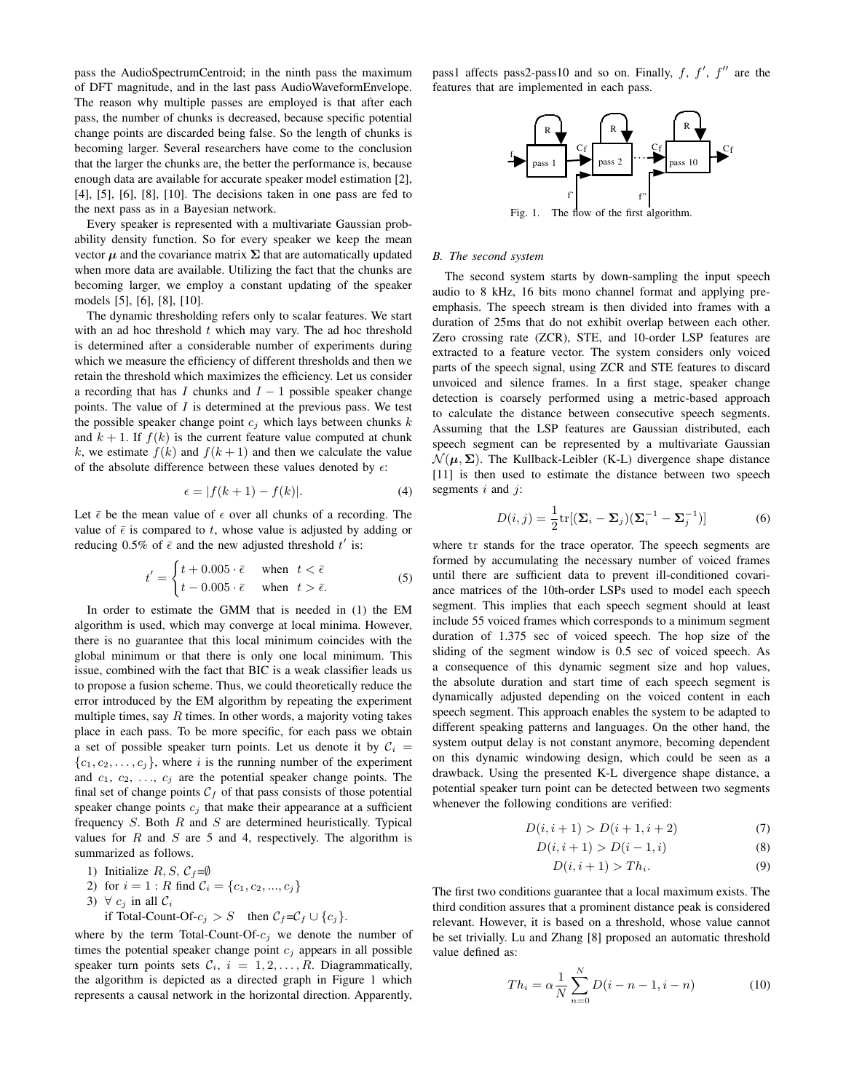pass the AudioSpectrumCentroid; in the ninth pass the maximum of DFT magnitude, and in the last pass AudioWaveformEnvelope. The reason why multiple passes are employed is that after each pass, the number of chunks is decreased, because specific potential change points are discarded being false. So the length of chunks is becoming larger. Several researchers have come to the conclusion that the larger the chunks are, the better the performance is, because enough data are available for accurate speaker model estimation [2], [4], [5], [6], [8], [10]. The decisions taken in one pass are fed to the next pass as in a Bayesian network.

Every speaker is represented with a multivariate Gaussian probability density function. So for every speaker we keep the mean vector  $\mu$  and the covariance matrix  $\Sigma$  that are automatically updated when more data are available. Utilizing the fact that the chunks are becoming larger, we employ a constant updating of the speaker models [5], [6], [8], [10].

The dynamic thresholding refers only to scalar features. We start with an ad hoc threshold  $t$  which may vary. The ad hoc threshold is determined after a considerable number of experiments during which we measure the efficiency of different thresholds and then we retain the threshold which maximizes the efficiency. Let us consider a recording that has I chunks and  $I - 1$  possible speaker change points. The value of  $I$  is determined at the previous pass. We test the possible speaker change point  $c_i$  which lays between chunks k and  $k + 1$ . If  $f(k)$  is the current feature value computed at chunk k, we estimate  $f(k)$  and  $f(k + 1)$  and then we calculate the value of the absolute difference between these values denoted by  $\epsilon$ :

$$
\epsilon = |f(k+1) - f(k)|.\tag{4}
$$

Let  $\bar{\epsilon}$  be the mean value of  $\epsilon$  over all chunks of a recording. The value of  $\bar{\epsilon}$  is compared to t, whose value is adjusted by adding or reducing 0.5% of  $\epsilon$  and the new adjusted threshold  $t'$  is:

$$
t' = \begin{cases} t + 0.005 \cdot \bar{\epsilon} & \text{when } t < \bar{\epsilon} \\ t - 0.005 \cdot \bar{\epsilon} & \text{when } t > \bar{\epsilon}. \end{cases}
$$
 (5)

In order to estimate the GMM that is needed in (1) the EM algorithm is used, which may converge at local minima. However, there is no guarantee that this local minimum coincides with the global minimum or that there is only one local minimum. This issue, combined with the fact that BIC is a weak classifier leads us to propose a fusion scheme. Thus, we could theoretically reduce the error introduced by the EM algorithm by repeating the experiment multiple times, say  $R$  times. In other words, a majority voting takes place in each pass. To be more specific, for each pass we obtain a set of possible speaker turn points. Let us denote it by  $C_i$  =  ${c_1, c_2, \ldots, c_i}$ , where i is the running number of the experiment and  $c_1, c_2, \ldots, c_j$  are the potential speaker change points. The final set of change points  $C_f$  of that pass consists of those potential speaker change points  $c_i$  that make their appearance at a sufficient frequency  $S$ . Both  $R$  and  $S$  are determined heuristically. Typical values for  $R$  and  $S$  are 5 and 4, respectively. The algorithm is summarized as follows.

1) Initialize  $R, S, C_f = \emptyset$ 

2) for 
$$
i = 1 : R
$$
 find  $C_i = \{c_1, c_2, ..., c_j\}$ 

3)  $\forall$  c<sub>j</sub> in all  $\mathcal{C}_i$ 

if Total-Count-Of- $c_j > S$  then  $C_f = C_f \cup \{c_j\}.$ 

where by the term Total-Count-Of- $c_j$  we denote the number of times the potential speaker change point  $c_j$  appears in all possible speaker turn points sets  $C_i$ ,  $i = 1, 2, ..., R$ . Diagrammatically, the algorithm is depicted as a directed graph in Figure 1 which represents a causal network in the horizontal direction. Apparently,

pass1 affects pass2-pass10 and so on. Finally,  $f, f', f''$  are the features that are implemented in each pass.



Fig. 1. The flow of the first algorithm.

# *B. The second system*

The second system starts by down-sampling the input speech audio to 8 kHz, 16 bits mono channel format and applying preemphasis. The speech stream is then divided into frames with a duration of 25ms that do not exhibit overlap between each other. Zero crossing rate (ZCR), STE, and 10-order LSP features are extracted to a feature vector. The system considers only voiced parts of the speech signal, using ZCR and STE features to discard unvoiced and silence frames. In a first stage, speaker change detection is coarsely performed using a metric-based approach to calculate the distance between consecutive speech segments. Assuming that the LSP features are Gaussian distributed, each speech segment can be represented by a multivariate Gaussian  $\mathcal{N}(\mu, \Sigma)$ . The Kullback-Leibler (K-L) divergence shape distance [11] is then used to estimate the distance between two speech segments  $i$  and  $j$ :

$$
D(i,j) = \frac{1}{2} \text{tr}[(\boldsymbol{\Sigma}_i - \boldsymbol{\Sigma}_j)(\boldsymbol{\Sigma}_i^{-1} - \boldsymbol{\Sigma}_j^{-1})] \tag{6}
$$

where tr stands for the trace operator. The speech segments are formed by accumulating the necessary number of voiced frames until there are sufficient data to prevent ill-conditioned covariance matrices of the 10th-order LSPs used to model each speech segment. This implies that each speech segment should at least include 55 voiced frames which corresponds to a minimum segment duration of 1.375 sec of voiced speech. The hop size of the sliding of the segment window is 0.5 sec of voiced speech. As a consequence of this dynamic segment size and hop values, the absolute duration and start time of each speech segment is dynamically adjusted depending on the voiced content in each speech segment. This approach enables the system to be adapted to different speaking patterns and languages. On the other hand, the system output delay is not constant anymore, becoming dependent on this dynamic windowing design, which could be seen as a drawback. Using the presented K-L divergence shape distance, a potential speaker turn point can be detected between two segments whenever the following conditions are verified:

$$
D(i, i + 1) > D(i + 1, i + 2)
$$
\n(7)

$$
D(i, i + 1) > D(i - 1, i)
$$
 (8)

$$
D(i, i+1) > Th_i.
$$
\n<sup>(9)</sup>

The first two conditions guarantee that a local maximum exists. The third condition assures that a prominent distance peak is considered relevant. However, it is based on a threshold, whose value cannot be set trivially. Lu and Zhang [8] proposed an automatic threshold value defined as:

$$
Th_i = \alpha \frac{1}{N} \sum_{n=0}^{N} D(i - n - 1, i - n)
$$
 (10)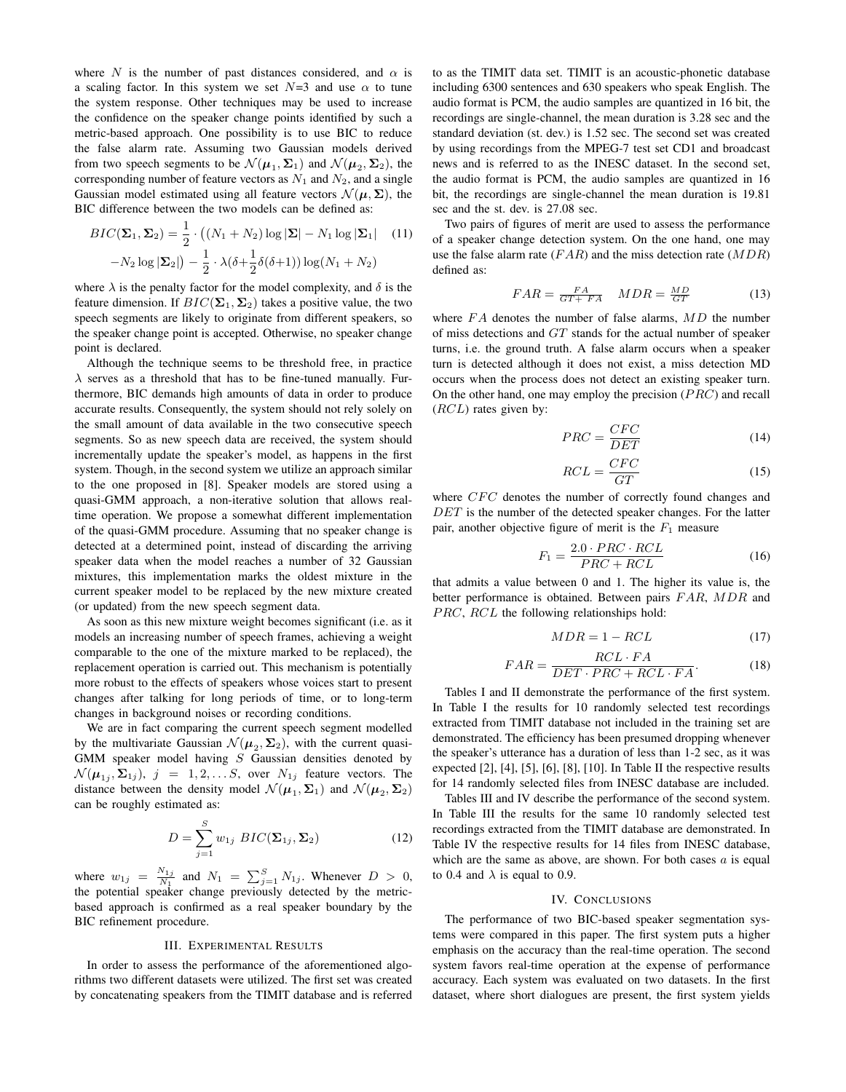where N is the number of past distances considered, and  $\alpha$  is a scaling factor. In this system we set  $N=3$  and use  $\alpha$  to tune the system response. Other techniques may be used to increase the confidence on the speaker change points identified by such a metric-based approach. One possibility is to use BIC to reduce the false alarm rate. Assuming two Gaussian models derived from two speech segments to be  $\mathcal{N}(\mu_1, \Sigma_1)$  and  $\mathcal{N}(\mu_2, \Sigma_2)$ , the corresponding number of feature vectors as  $N_1$  and  $N_2$ , and a single Gaussian model estimated using all feature vectors  $\mathcal{N}(\mu, \Sigma)$ , the BIC difference between the two models can be defined as:

$$
BIC(\Sigma_1, \Sigma_2) = \frac{1}{2} \cdot ((N_1 + N_2) \log |\Sigma| - N_1 \log |\Sigma_1| \quad (11)
$$

$$
-N_2 \log |\Sigma_2|) - \frac{1}{2} \cdot \lambda(\delta + \frac{1}{2}\delta(\delta + 1)) \log (N_1 + N_2)
$$

where  $\lambda$  is the penalty factor for the model complexity, and  $\delta$  is the feature dimension. If  $BIC(\Sigma_1, \Sigma_2)$  takes a positive value, the two speech segments are likely to originate from different speakers, so the speaker change point is accepted. Otherwise, no speaker change point is declared.

Although the technique seems to be threshold free, in practice  $\lambda$  serves as a threshold that has to be fine-tuned manually. Furthermore, BIC demands high amounts of data in order to produce accurate results. Consequently, the system should not rely solely on the small amount of data available in the two consecutive speech segments. So as new speech data are received, the system should incrementally update the speaker's model, as happens in the first system. Though, in the second system we utilize an approach similar to the one proposed in [8]. Speaker models are stored using a quasi-GMM approach, a non-iterative solution that allows realtime operation. We propose a somewhat different implementation of the quasi-GMM procedure. Assuming that no speaker change is detected at a determined point, instead of discarding the arriving speaker data when the model reaches a number of 32 Gaussian mixtures, this implementation marks the oldest mixture in the current speaker model to be replaced by the new mixture created (or updated) from the new speech segment data.

As soon as this new mixture weight becomes significant (i.e. as it models an increasing number of speech frames, achieving a weight comparable to the one of the mixture marked to be replaced), the replacement operation is carried out. This mechanism is potentially more robust to the effects of speakers whose voices start to present changes after talking for long periods of time, or to long-term changes in background noises or recording conditions.

We are in fact comparing the current speech segment modelled by the multivariate Gaussian  $\mathcal{N}(\mu_2, \Sigma_2)$ , with the current quasi-GMM speaker model having  $S$  Gaussian densities denoted by  $\mathcal{N}(\mu_{1j}, \Sigma_{1j}), j = 1, 2, \dots S$ , over  $N_{1j}$  feature vectors. The distance between the density model  $\mathcal{N}(\mu_1, \Sigma_1)$  and  $\mathcal{N}(\mu_2, \Sigma_2)$ can be roughly estimated as:

$$
D = \sum_{j=1}^{S} w_{1j} \, BIC(\Sigma_{1j}, \Sigma_2) \tag{12}
$$

where  $w_{1j} = \frac{N_{1j}}{N_1}$  and  $N_1 = \sum_{j=1}^{S} N_{1j}$ . Whenever  $D > 0$ , the potential speaker change previously detected by the metricbased approach is confirmed as a real speaker boundary by the BIC refinement procedure.

#### III. EXPERIMENTAL RESULTS

In order to assess the performance of the aforementioned algorithms two different datasets were utilized. The first set was created by concatenating speakers from the TIMIT database and is referred

to as the TIMIT data set. TIMIT is an acoustic-phonetic database including 6300 sentences and 630 speakers who speak English. The audio format is PCM, the audio samples are quantized in 16 bit, the recordings are single-channel, the mean duration is 3.28 sec and the standard deviation (st. dev.) is 1.52 sec. The second set was created by using recordings from the MPEG-7 test set CD1 and broadcast news and is referred to as the INESC dataset. In the second set, the audio format is PCM, the audio samples are quantized in 16 bit, the recordings are single-channel the mean duration is 19.81 sec and the st. dev. is 27.08 sec.

Two pairs of figures of merit are used to assess the performance of a speaker change detection system. On the one hand, one may use the false alarm rate  $(FAR)$  and the miss detection rate  $(MDR)$ defined as:

$$
FAR = \frac{FA}{GT + FA} \quad MDR = \frac{MD}{GT} \tag{13}
$$

where FA denotes the number of false alarms, MD the number of miss detections and GT stands for the actual number of speaker turns, i.e. the ground truth. A false alarm occurs when a speaker turn is detected although it does not exist, a miss detection MD occurs when the process does not detect an existing speaker turn. On the other hand, one may employ the precision (PRC) and recall  $(RCL)$  rates given by:

$$
PRC = \frac{CFC}{DET}
$$
 (14)

$$
RCL = \frac{CFC}{GT} \tag{15}
$$

where CFC denotes the number of correctly found changes and DET is the number of the detected speaker changes. For the latter pair, another objective figure of merit is the  $F_1$  measure

$$
F_1 = \frac{2.0 \cdot PRC \cdot RCL}{PRC + RCL}
$$
\n(16)

that admits a value between 0 and 1. The higher its value is, the better performance is obtained. Between pairs FAR, MDR and PRC, RCL the following relationships hold:

$$
MDR = 1 - RCL \tag{17}
$$

$$
FAR = \frac{RCL \cdot FA}{DET \cdot PRC + RCL \cdot FA}.\tag{18}
$$

Tables I and II demonstrate the performance of the first system. In Table I the results for 10 randomly selected test recordings extracted from TIMIT database not included in the training set are demonstrated. The efficiency has been presumed dropping whenever the speaker's utterance has a duration of less than 1-2 sec, as it was expected [2], [4], [5], [6], [8], [10]. In Table II the respective results for 14 randomly selected files from INESC database are included.

Tables III and IV describe the performance of the second system. In Table III the results for the same 10 randomly selected test recordings extracted from the TIMIT database are demonstrated. In Table IV the respective results for 14 files from INESC database, which are the same as above, are shown. For both cases  $a$  is equal to 0.4 and  $\lambda$  is equal to 0.9.

### IV. CONCLUSIONS

The performance of two BIC-based speaker segmentation systems were compared in this paper. The first system puts a higher emphasis on the accuracy than the real-time operation. The second system favors real-time operation at the expense of performance accuracy. Each system was evaluated on two datasets. In the first dataset, where short dialogues are present, the first system yields